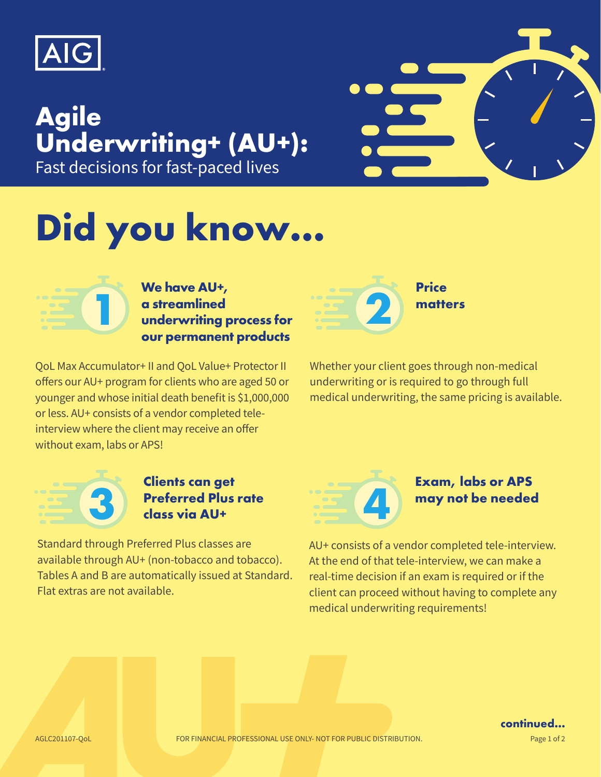

# **Agile Underwriting+ (AU+):**  Fast decisions for fast-paced lives

# **Did you know…**



**Price matters 2**

QoL Max Accumulator+ II and QoL Value+ Protector II offers our AU+ program for clients who are aged 50 or younger and whose initial death benefit is \$1,000,000 or less. AU+ consists of a vendor completed teleinterview where the client may receive an offer without exam, labs or APS!

Whether your client goes through non-medical underwriting or is required to go through full medical underwriting, the same pricing is available.



**1**

#### **Clients can get Preferred Plus rate class via AU+**

Standard through Preferred Plus classes are available through AU+ (non-tobacco and tobacco). Tables A and B are automatically issued at Standard. Flat extras are not available.



#### **Exam, labs or APS may not be needed**

AU+ consists of a vendor completed tele-interview. At the end of that tele-interview, we can make a real-time decision if an exam is required or if the client can proceed without having to complete any medical underwriting requirements!



**continued…**